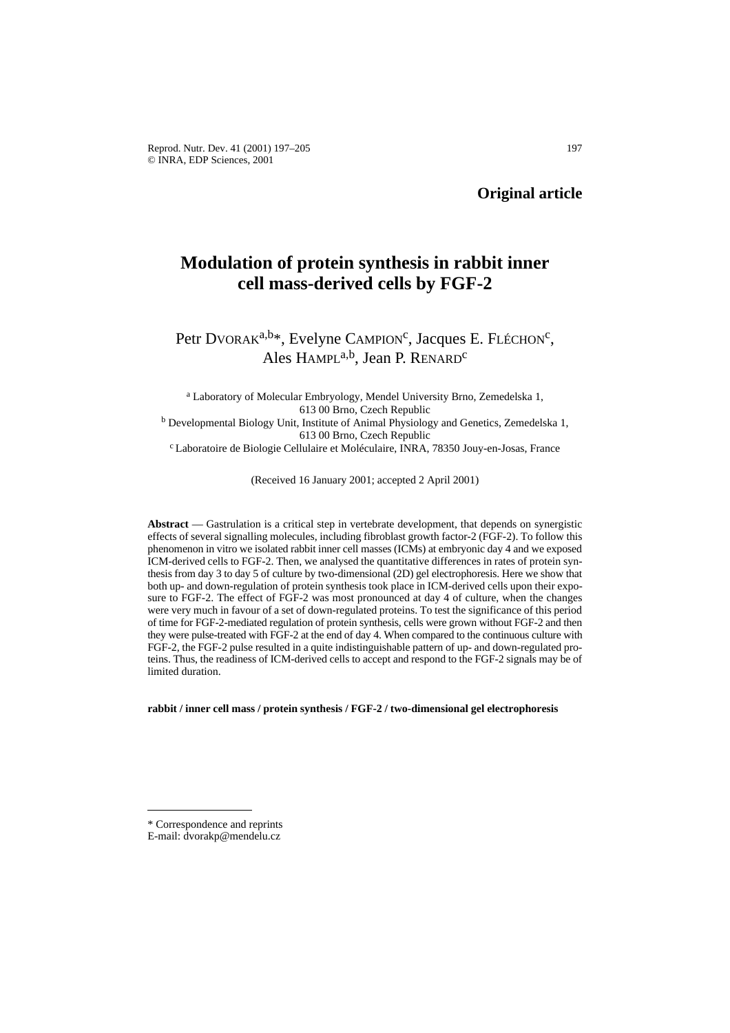# **Modulation of protein synthesis in rabbit inner cell mass-derived cells by FGF-2**

Petr DVORA $K^{a,b*}$ , Evelyne CAMPION<sup>c</sup>, Jacques E. FLÉCHON<sup>c</sup>, Ales HAMPL<sup>a,b</sup>, Jean P. RENARD<sup>c</sup>

<sup>a</sup> Laboratory of Molecular Embryology, Mendel University Brno, Zemedelska 1, 613 00 Brno, Czech Republic <sup>b</sup> Developmental Biology Unit, Institute of Animal Physiology and Genetics, Zemedelska 1, 613 00 Brno, Czech Republic c Laboratoire de Biologie Cellulaire et Moléculaire, INRA, 78350 Jouy-en-Josas, France

(Received 16 January 2001; accepted 2 April 2001)

**Abstract** — Gastrulation is a critical step in vertebrate development, that depends on synergistic effects of several signalling molecules, including fibroblast growth factor-2 (FGF-2). To follow this phenomenon in vitro we isolated rabbit inner cell masses (ICMs) at embryonic day 4 and we exposed ICM-derived cells to FGF-2. Then, we analysed the quantitative differences in rates of protein synthesis from day 3 to day 5 of culture by two-dimensional (2D) gel electrophoresis. Here we show that both up- and down-regulation of protein synthesis took place in ICM-derived cells upon their exposure to FGF-2. The effect of FGF-2 was most pronounced at day 4 of culture, when the changes were very much in favour of a set of down-regulated proteins. To test the significance of this period of time for FGF-2-mediated regulation of protein synthesis, cells were grown without FGF-2 and then they were pulse-treated with FGF-2 at the end of day 4. When compared to the continuous culture with FGF-2, the FGF-2 pulse resulted in a quite indistinguishable pattern of up- and down-regulated proteins. Thus, the readiness of ICM-derived cells to accept and respond to the FGF-2 signals may be of limited duration.

**rabbit / inner cell mass / protein synthesis / FGF-2 / two-dimensional gel electrophoresis** 

<sup>\*</sup> Correspondence and reprints

E-mail: dvorakp@mendelu.cz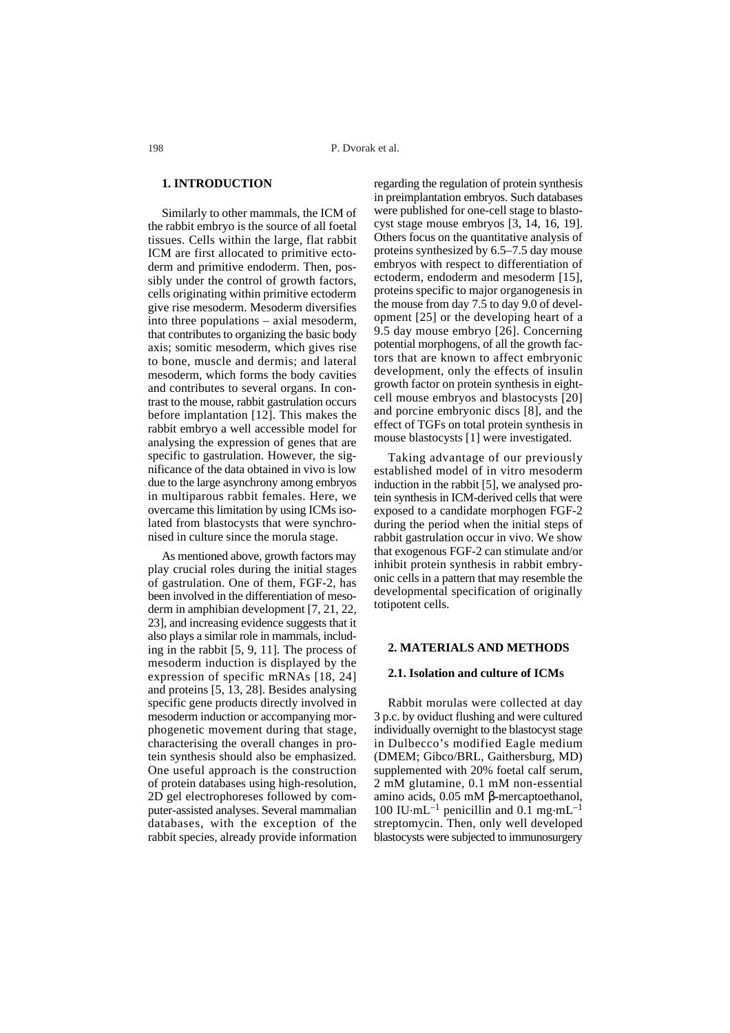## **1. INTRODUCTION**

Similarly to other mammals, the ICM of the rabbit embryo is the source of all foetal tissues. Cells within the large, flat rabbit ICM are first allocated to primitive ectoderm and primitive endoderm. Then, possibly under the control of growth factors, cells originating within primitive ectoderm give rise mesoderm. Mesoderm diversifies into three populations – axial mesoderm, that contributes to organizing the basic body axis; somitic mesoderm, which gives rise to bone, muscle and dermis; and lateral mesoderm, which forms the body cavities and contributes to several organs. In contrast to the mouse, rabbit gastrulation occurs before implantation [12]. This makes the rabbit embryo a well accessible model for analysing the expression of genes that are specific to gastrulation. However, the significance of the data obtained in vivo is low due to the large asynchrony among embryos in multiparous rabbit females. Here, we overcame this limitation by using ICMs isolated from blastocysts that were synchronised in culture since the morula stage.

As mentioned above, growth factors may play crucial roles during the initial stages of gastrulation. One of them, FGF-2, has been involved in the differentiation of mesoderm in amphibian development [7, 21, 22, 23], and increasing evidence suggests that it also plays a similar role in mammals, including in the rabbit [5, 9, 11]. The process of mesoderm induction is displayed by the expression of specific mRNAs [18, 24] and proteins [5, 13, 28]. Besides analysing specific gene products directly involved in mesoderm induction or accompanying morphogenetic movement during that stage, characterising the overall changes in protein synthesis should also be emphasized. One useful approach is the construction of protein databases using high-resolution, 2D gel electrophoreses followed by computer-assisted analyses. Several mammalian databases, with the exception of the rabbit species, already provide information

regarding the regulation of protein synthesis in preimplantation embryos. Such databases were published for one-cell stage to blastocyst stage mouse embryos [3, 14, 16, 19]. Others focus on the quantitative analysis of proteins synthesized by 6.5–7.5 day mouse embryos with respect to differentiation of ectoderm, endoderm and mesoderm [15], proteins specific to major organogenesis in the mouse from day 7.5 to day 9.0 of development [25] or the developing heart of a 9.5 day mouse embryo [26]. Concerning potential morphogens, of all the growth factors that are known to affect embryonic development, only the effects of insulin growth factor on protein synthesis in eightcell mouse embryos and blastocysts [20] and porcine embryonic discs [8], and the effect of TGFs on total protein synthesis in mouse blastocysts [1] were investigated.

Taking advantage of our previously established model of in vitro mesoderm induction in the rabbit [5], we analysed protein synthesis in ICM-derived cells that were exposed to a candidate morphogen FGF-2 during the period when the initial steps of rabbit gastrulation occur in vivo. We show that exogenous FGF-2 can stimulate and/or inhibit protein synthesis in rabbit embryonic cells in a pattern that may resemble the developmental specification of originally totipotent cells.

#### **2. MATERIALS AND METHODS**

#### **2.1. Isolation and culture of ICMs**

Rabbit morulas were collected at day 3 p.c. by oviduct flushing and were cultured individually overnight to the blastocyst stage in Dulbecco's modified Eagle medium (DMEM; Gibco/BRL, Gaithersburg, MD) supplemented with 20% foetal calf serum, 2 mM glutamine, 0.1 mM non-essential amino acids, 0.05 mM β-mercaptoethanol, 100 IU $\cdot$ mL<sup>-1</sup> penicillin and 0.1 mg $\cdot$ mL<sup>-1</sup> streptomycin. Then, only well developed blastocysts were subjected to immunosurgery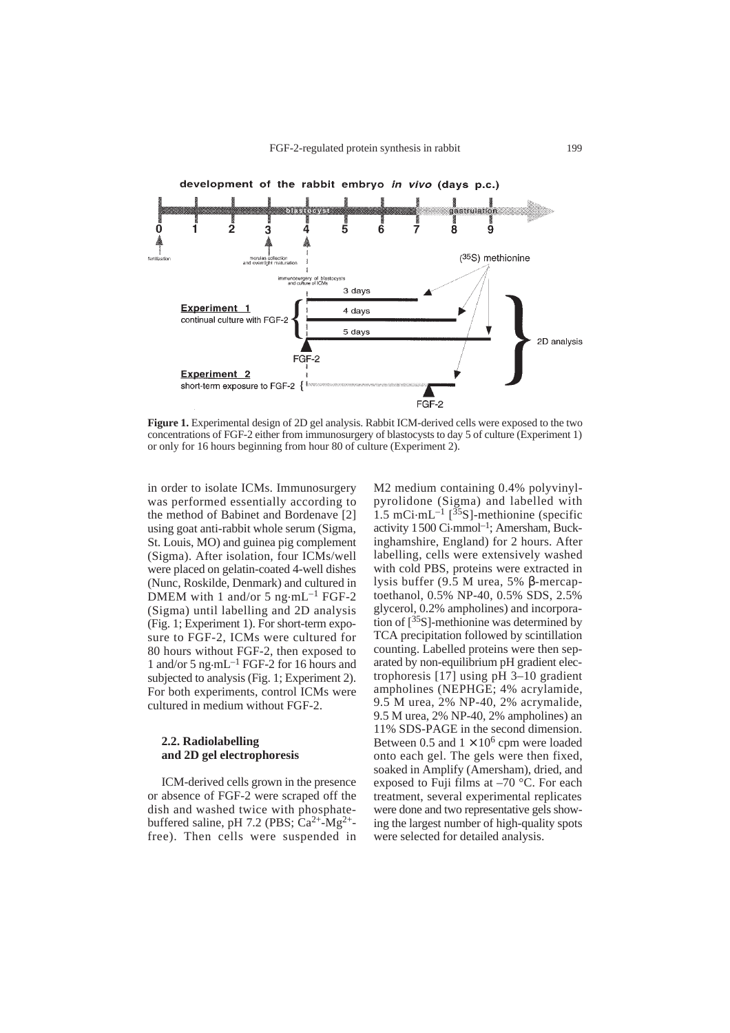

**Figure 1.** Experimental design of 2D gel analysis. Rabbit ICM-derived cells were exposed to the two concentrations of FGF-2 either from immunosurgery of blastocysts to day 5 of culture (Experiment 1) or only for 16 hours beginning from hour 80 of culture (Experiment 2).

in order to isolate ICMs. Immunosurgery was performed essentially according to the method of Babinet and Bordenave [2] using goat anti-rabbit whole serum (Sigma, St. Louis, MO) and guinea pig complement (Sigma). After isolation, four ICMs/well were placed on gelatin-coated 4-well dishes (Nunc, Roskilde, Denmark) and cultured in DMEM with 1 and/or 5  $ng·mL^{-1}$  FGF-2 (Sigma) until labelling and 2D analysis (Fig. 1; Experiment 1). For short-term exposure to FGF-2, ICMs were cultured for 80 hours without FGF-2, then exposed to 1 and/or 5 ng.mL–1 FGF-2 for 16 hours and subjected to analysis (Fig. 1; Experiment 2). For both experiments, control ICMs were cultured in medium without FGF-2.

#### **2.2. Radiolabelling and 2D gel electrophoresis**

ICM-derived cells grown in the presence or absence of FGF-2 were scraped off the dish and washed twice with phosphatebuffered saline, pH 7.2 (PBS;  $Ca^{2+}$ -Mg<sup>2+</sup>free). Then cells were suspended in M2 medium containing 0.4% polyvinylpyrolidone (Sigma) and labelled with 1.5 mCi·mL<sup>-1</sup>  $\left[35\right]$ -methionine (specific activity 1500 Ci.mmol–1; Amersham, Buckinghamshire, England) for 2 hours. After labelling, cells were extensively washed with cold PBS, proteins were extracted in lysis buffer (9.5 M urea, 5% β-mercaptoethanol, 0.5% NP-40, 0.5% SDS, 2.5% glycerol, 0.2% ampholines) and incorporation of [35S]-methionine was determined by TCA precipitation followed by scintillation counting. Labelled proteins were then separated by non-equilibrium pH gradient electrophoresis [17] using pH 3–10 gradient ampholines (NEPHGE; 4% acrylamide, 9.5 M urea, 2% NP-40, 2% acrymalide, 9.5 M urea, 2% NP-40, 2% ampholines) an 11% SDS-PAGE in the second dimension. Between 0.5 and  $1 \times 10^6$  cpm were loaded onto each gel. The gels were then fixed, soaked in Amplify (Amersham), dried, and exposed to Fuji films at –70 °C. For each treatment, several experimental replicates were done and two representative gels showing the largest number of high-quality spots were selected for detailed analysis.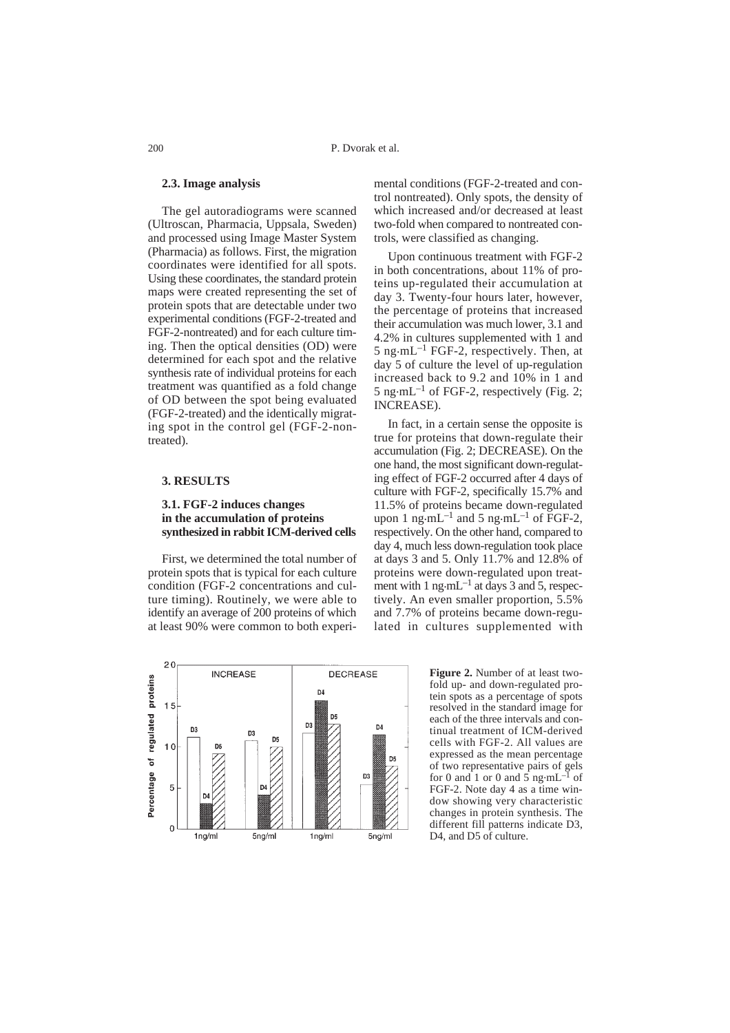## **2.3. Image analysis**

The gel autoradiograms were scanned (Ultroscan, Pharmacia, Uppsala, Sweden) and processed using Image Master System (Pharmacia) as follows. First, the migration coordinates were identified for all spots. Using these coordinates, the standard protein maps were created representing the set of protein spots that are detectable under two experimental conditions (FGF-2-treated and FGF-2-nontreated) and for each culture timing. Then the optical densities (OD) were determined for each spot and the relative synthesis rate of individual proteins for each treatment was quantified as a fold change of OD between the spot being evaluated (FGF-2-treated) and the identically migrating spot in the control gel (FGF-2-nontreated).

# **3. RESULTS**

#### **3.1. FGF-2 induces changes in the accumulation of proteins synthesized in rabbit ICM-derived cells**

First, we determined the total number of protein spots that is typical for each culture condition (FGF-2 concentrations and culture timing). Routinely, we were able to identify an average of 200 proteins of which at least 90% were common to both experimental conditions (FGF-2-treated and control nontreated). Only spots, the density of which increased and/or decreased at least two-fold when compared to nontreated controls, were classified as changing.

Upon continuous treatment with FGF-2 in both concentrations, about 11% of proteins up-regulated their accumulation at day 3. Twenty-four hours later, however, the percentage of proteins that increased their accumulation was much lower, 3.1 and 4.2% in cultures supplemented with 1 and 5 ng $\cdot$ mL<sup>-1</sup> FGF-2, respectively. Then, at day 5 of culture the level of up-regulation increased back to 9.2 and 10% in 1 and  $5 \text{ ng} \cdot \text{m} \text{L}^{-1}$  of FGF-2, respectively (Fig. 2; INCREASE).

In fact, in a certain sense the opposite is true for proteins that down-regulate their accumulation (Fig. 2; DECREASE). On the one hand, the most significant down-regulating effect of FGF-2 occurred after 4 days of culture with FGF-2, specifically 15.7% and 11.5% of proteins became down-regulated upon 1 ng $\cdot$ mL<sup>-1</sup> and 5 ng $\cdot$ mL<sup>-1</sup> of FGF-2, respectively. On the other hand, compared to day 4, much less down-regulation took place at days 3 and 5. Only 11.7% and 12.8% of proteins were down-regulated upon treatment with 1 ng $\cdot$ mL<sup>-1</sup> at days 3 and 5, respectively. An even smaller proportion, 5.5% and 7.7% of proteins became down-regulated in cultures supplemented with



**Figure 2.** Number of at least twofold up- and down-regulated protein spots as a percentage of spots resolved in the standard image for each of the three intervals and continual treatment of ICM-derived cells with FGF-2. All values are expressed as the mean percentage of two representative pairs of gels<br>for 0 and 1 or 0 and 5 ng·mL<sup>-1</sup> of FGF-2. Note day 4 as a time window showing very characteristic changes in protein synthesis. The different fill patterns indicate D3, D4, and D5 of culture.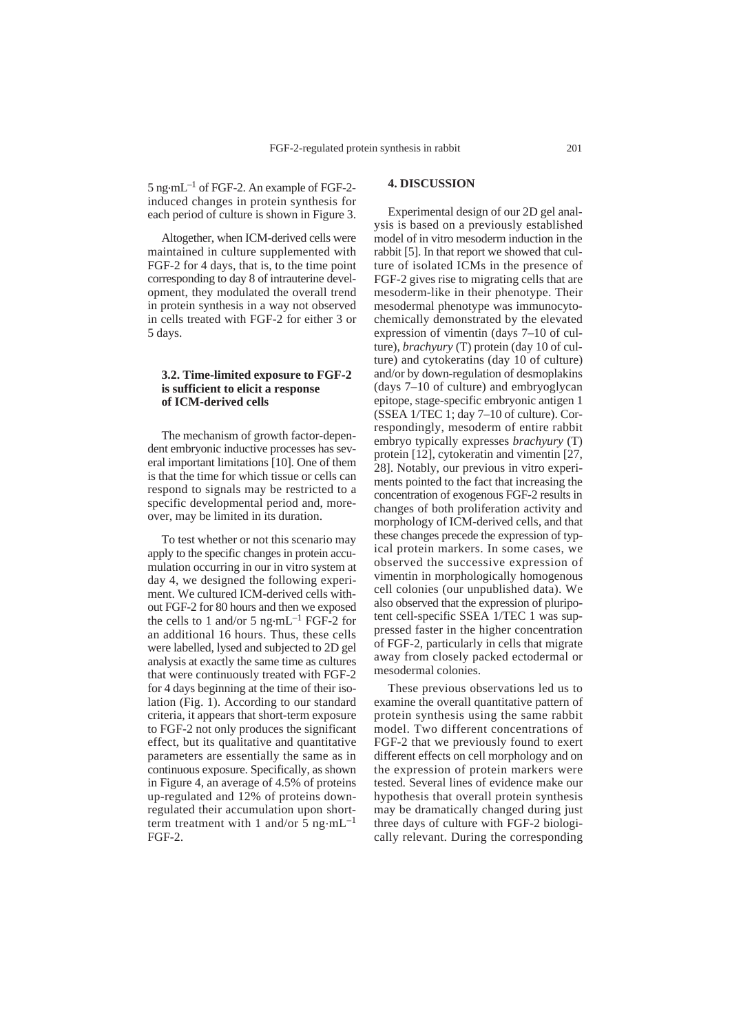5 ng.mL–1 of FGF-2. An example of FGF-2 induced changes in protein synthesis for each period of culture is shown in Figure 3.

Altogether, when ICM-derived cells were maintained in culture supplemented with FGF-2 for 4 days, that is, to the time point corresponding to day 8 of intrauterine development, they modulated the overall trend in protein synthesis in a way not observed in cells treated with FGF-2 for either 3 or 5 days.

## **3.2. Time-limited exposure to FGF-2 is sufficient to elicit a response of ICM-derived cells**

The mechanism of growth factor-dependent embryonic inductive processes has several important limitations [10]. One of them is that the time for which tissue or cells can respond to signals may be restricted to a specific developmental period and, moreover, may be limited in its duration.

To test whether or not this scenario may apply to the specific changes in protein accumulation occurring in our in vitro system at day 4, we designed the following experiment. We cultured ICM-derived cells without FGF-2 for 80 hours and then we exposed the cells to 1 and/or 5 ng $\cdot$ mL<sup>-1</sup> FGF-2 for an additional 16 hours. Thus, these cells were labelled, lysed and subjected to 2D gel analysis at exactly the same time as cultures that were continuously treated with FGF-2 for 4 days beginning at the time of their isolation (Fig. 1). According to our standard criteria, it appears that short-term exposure to FGF-2 not only produces the significant effect, but its qualitative and quantitative parameters are essentially the same as in continuous exposure. Specifically, as shown in Figure 4, an average of 4.5% of proteins up-regulated and 12% of proteins downregulated their accumulation upon shortterm treatment with 1 and/or  $\bar{5}$  ng $\cdot$ mL<sup>-1</sup> FGF-2.

## **4. DISCUSSION**

Experimental design of our 2D gel analysis is based on a previously established model of in vitro mesoderm induction in the rabbit [5]. In that report we showed that culture of isolated ICMs in the presence of FGF-2 gives rise to migrating cells that are mesoderm-like in their phenotype. Their mesodermal phenotype was immunocytochemically demonstrated by the elevated expression of vimentin (days 7–10 of culture), *brachyury* (T) protein (day 10 of culture) and cytokeratins (day 10 of culture) and/or by down-regulation of desmoplakins (days 7–10 of culture) and embryoglycan epitope, stage-specific embryonic antigen 1  $(SSEA 1/TEC 1; day 7–10 of culture)$ . Correspondingly, mesoderm of entire rabbit embryo typically expresses *brachyury* (T) protein [12], cytokeratin and vimentin [27, 28]. Notably, our previous in vitro experiments pointed to the fact that increasing the concentration of exogenous FGF-2 results in changes of both proliferation activity and morphology of ICM-derived cells, and that these changes precede the expression of typical protein markers. In some cases, we observed the successive expression of vimentin in morphologically homogenous cell colonies (our unpublished data). We also observed that the expression of pluripotent cell-specific SSEA 1/TEC 1 was suppressed faster in the higher concentration of FGF-2, particularly in cells that migrate away from closely packed ectodermal or mesodermal colonies.

These previous observations led us to examine the overall quantitative pattern of protein synthesis using the same rabbit model. Two different concentrations of FGF-2 that we previously found to exert different effects on cell morphology and on the expression of protein markers were tested. Several lines of evidence make our hypothesis that overall protein synthesis may be dramatically changed during just three days of culture with FGF-2 biologically relevant. During the corresponding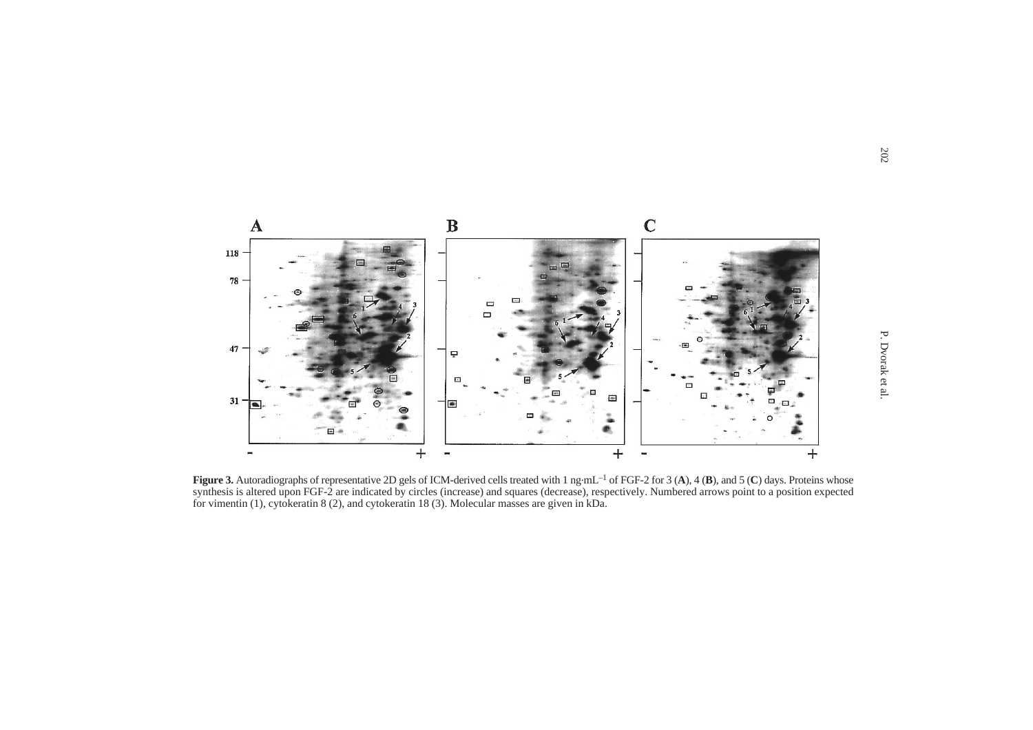

**Figure 3.** Autoradiographs of representative 2D gels of ICM-derived cells treated with 1 ng·mL<sup>-1</sup> of FGF-2 for 3 (A), 4 (**B**), and 5 (**C**) days. Proteins whose synthesis is altered upon FGF-2 are indicated by circles (increase) and squares (decrease), respectively. Numbered arrows point to a position expected for vimentin (1), cytokeratin 8 (2), and cytokeratin 18 (3). Molecular masses are given in kDa.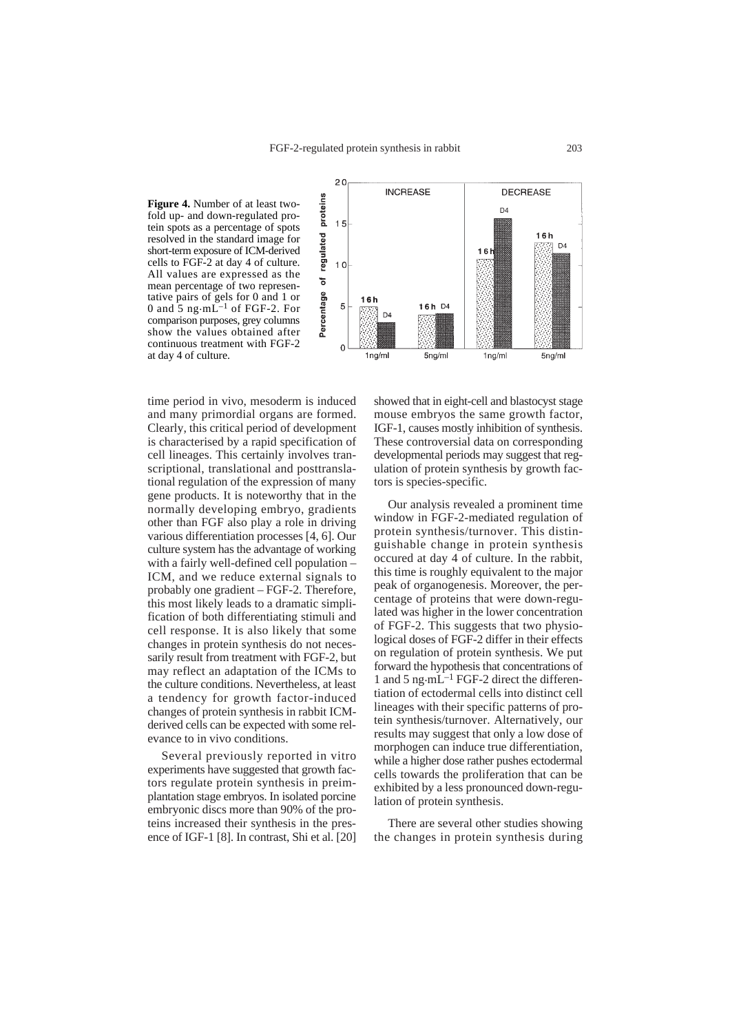**Figure 4.** Number of at least twofold up- and down-regulated protein spots as a percentage of spots resolved in the standard image for short-term exposure of ICM-derived cells to FGF-2 at day 4 of culture. All values are expressed as the mean percentage of two representative pairs of gels for 0 and 1 or<br>0 and 5 ng·mL<sup>-1</sup> of FGF-2. For comparison purposes, grey columns show the values obtained after continuous treatment with FGF-2 at day 4 of culture.



time period in vivo, mesoderm is induced and many primordial organs are formed. Clearly, this critical period of development is characterised by a rapid specification of cell lineages. This certainly involves transcriptional, translational and posttranslational regulation of the expression of many gene products. It is noteworthy that in the normally developing embryo, gradients other than FGF also play a role in driving various differentiation processes [4, 6]. Our culture system has the advantage of working with a fairly well-defined cell population – ICM, and we reduce external signals to probably one gradient – FGF-2. Therefore, this most likely leads to a dramatic simplification of both differentiating stimuli and cell response. It is also likely that some changes in protein synthesis do not necessarily result from treatment with FGF-2, but may reflect an adaptation of the ICMs to the culture conditions. Nevertheless, at least a tendency for growth factor-induced changes of protein synthesis in rabbit ICMderived cells can be expected with some relevance to in vivo conditions.

Several previously reported in vitro experiments have suggested that growth factors regulate protein synthesis in preimplantation stage embryos. In isolated porcine embryonic discs more than 90% of the proteins increased their synthesis in the presence of IGF-1 [8]. In contrast, Shi et al. [20]

showed that in eight-cell and blastocyst stage mouse embryos the same growth factor, IGF-1, causes mostly inhibition of synthesis. These controversial data on corresponding developmental periods may suggest that regulation of protein synthesis by growth factors is species-specific.

Our analysis revealed a prominent time window in FGF-2-mediated regulation of protein synthesis/turnover. This distinguishable change in protein synthesis occured at day 4 of culture. In the rabbit, this time is roughly equivalent to the major peak of organogenesis. Moreover, the percentage of proteins that were down-regulated was higher in the lower concentration of FGF-2. This suggests that two physiological doses of FGF-2 differ in their effects on regulation of protein synthesis. We put forward the hypothesis that concentrations of 1 and 5 ng·m $\text{L}^{-1}$  FGF-2 direct the differentiation of ectodermal cells into distinct cell lineages with their specific patterns of protein synthesis/turnover. Alternatively, our results may suggest that only a low dose of morphogen can induce true differentiation, while a higher dose rather pushes ectodermal cells towards the proliferation that can be exhibited by a less pronounced down-regulation of protein synthesis.

There are several other studies showing the changes in protein synthesis during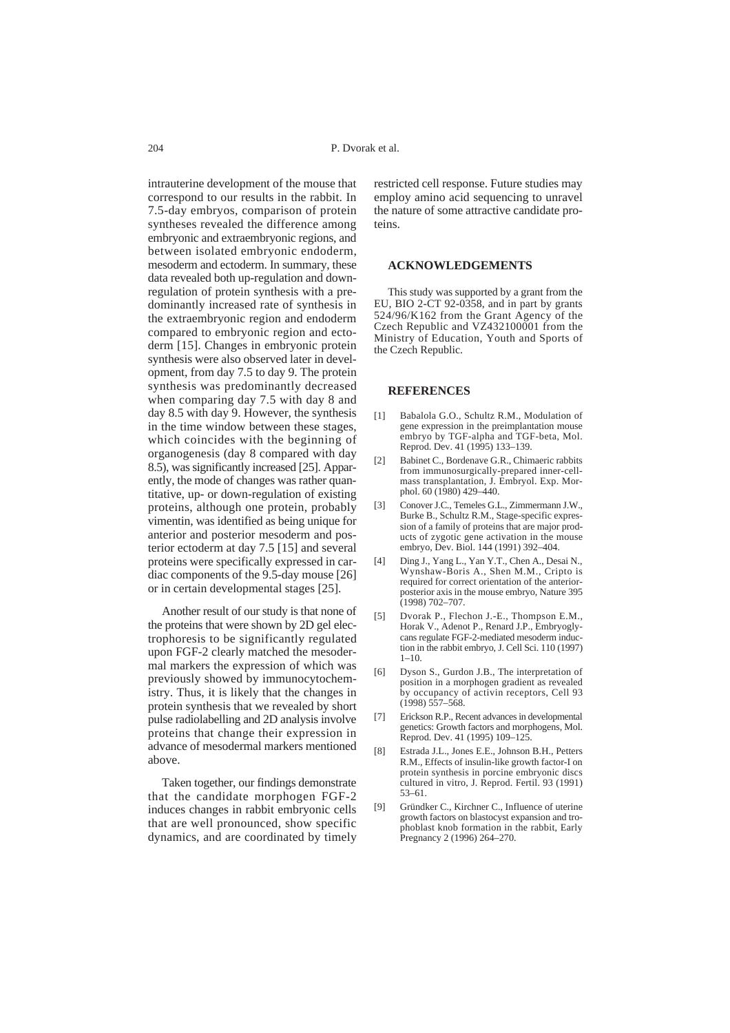intrauterine development of the mouse that correspond to our results in the rabbit. In 7.5-day embryos, comparison of protein syntheses revealed the difference among embryonic and extraembryonic regions, and between isolated embryonic endoderm, mesoderm and ectoderm. In summary, these data revealed both up-regulation and downregulation of protein synthesis with a predominantly increased rate of synthesis in the extraembryonic region and endoderm compared to embryonic region and ectoderm [15]. Changes in embryonic protein synthesis were also observed later in development, from day 7.5 to day 9. The protein synthesis was predominantly decreased when comparing day 7.5 with day 8 and day 8.5 with day 9. However, the synthesis in the time window between these stages, which coincides with the beginning of organogenesis (day 8 compared with day 8.5), was significantly increased [25]. Apparently, the mode of changes was rather quantitative, up- or down-regulation of existing proteins, although one protein, probably vimentin, was identified as being unique for anterior and posterior mesoderm and posterior ectoderm at day 7.5 [15] and several proteins were specifically expressed in cardiac components of the 9.5-day mouse [26] or in certain developmental stages [25].

Another result of our study is that none of the proteins that were shown by 2D gel electrophoresis to be significantly regulated upon FGF-2 clearly matched the mesodermal markers the expression of which was previously showed by immunocytochemistry. Thus, it is likely that the changes in protein synthesis that we revealed by short pulse radiolabelling and 2D analysis involve proteins that change their expression in advance of mesodermal markers mentioned above.

Taken together, our findings demonstrate that the candidate morphogen FGF-2 induces changes in rabbit embryonic cells that are well pronounced, show specific dynamics, and are coordinated by timely

restricted cell response. Future studies may employ amino acid sequencing to unravel the nature of some attractive candidate proteins.

## **ACKNOWLEDGEMENTS**

This study was supported by a grant from the EU, BIO 2-CT 92-0358, and in part by grants 524/96/K162 from the Grant Agency of the Czech Republic and VZ432100001 from the Ministry of Education, Youth and Sports of the Czech Republic.

#### **REFERENCES**

- [1] Babalola G.O., Schultz R.M., Modulation of gene expression in the preimplantation mouse embryo by TGF-alpha and TGF-beta, Mol. Reprod. Dev. 41 (1995) 133–139.
- [2] Babinet C., Bordenave G.R., Chimaeric rabbits from immunosurgically-prepared inner-cellmass transplantation, J. Embryol. Exp. Morphol. 60 (1980) 429–440.
- Conover J.C., Temeles G.L., Zimmermann J.W., Burke B., Schultz R.M., Stage-specific expression of a family of proteins that are major products of zygotic gene activation in the mouse embryo, Dev. Biol. 144 (1991) 392–404.
- [4] Ding J., Yang L., Yan Y.T., Chen A., Desai N., Wynshaw-Boris A., Shen M.M., Cripto is required for correct orientation of the anteriorposterior axis in the mouse embryo, Nature 395 (1998) 702–707.
- [5] Dvorak P., Flechon J.-E., Thompson E.M., Horak V., Adenot P., Renard J.P., Embryoglycans regulate FGF-2-mediated mesoderm induction in the rabbit embryo, J. Cell Sci. 110 (1997)  $1 - 10$
- [6] Dyson S., Gurdon J.B., The interpretation of position in a morphogen gradient as revealed by occupancy of activin receptors, Cell 93  $(1998)$  557–568.
- [7] Erickson R.P., Recent advances in developmental genetics: Growth factors and morphogens, Mol. Reprod. Dev. 41 (1995) 109–125.
- [8] Estrada J.L., Jones E.E., Johnson B.H., Petters R.M., Effects of insulin-like growth factor-I on protein synthesis in porcine embryonic discs cultured in vitro, J. Reprod. Fertil. 93 (1991) 53–61.
- [9] Gründker C., Kirchner C., Influence of uterine growth factors on blastocyst expansion and trophoblast knob formation in the rabbit, Early Pregnancy 2 (1996) 264–270.